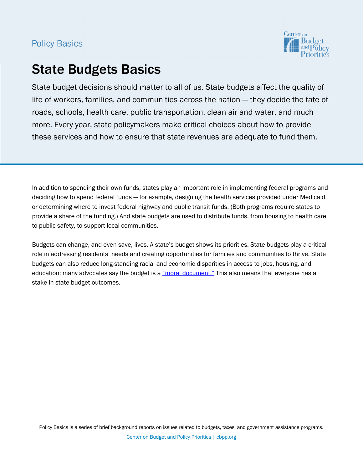## **Policy Basics**



# State Budgets Basics

State budget decisions should matter to all of us. State budgets affect the quality of life of workers, families, and communities across the nation ― they decide the fate of roads, schools, health care, public transportation, clean air and water, and much more. Every year, state policymakers make critical choices about how to provide these services and how to ensure that state revenues are adequate to fund them.

In addition to spending their own funds, states play an important role in implementing federal programs and deciding how to spend federal funds ― for example, designing the health services provided under Medicaid, or determining where to invest federal highway and public transit funds. (Both programs require states to provide a share of the funding.) And state budgets are used to distribute funds, from housing to health care to public safety, to support local communities.

Budgets can change, and even save, lives. A state's budget shows its priorities. State budgets play a critical role in addressing residents' needs and creating opportunities for families and communities to thrive. State budgets can also reduce long-standing racial and economic disparities in access to jobs, housing, and education; many advocates say the budget is a "moral document." This also means that everyone has a stake in state budget outcomes.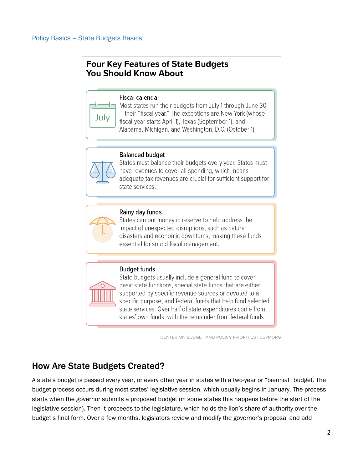## **Four Key Features of State Budgets You Should Know About**



## **Fiscal calendar**

Most states run their budgets from July 1 through June 30 - their "fiscal year." The exceptions are New York (whose fiscal year starts April 1), Texas (September 1), and Alabama, Michigan, and Washington, D.C. (October 1).

## **Balanced budget**

States must balance their budgets every year. States must have revenues to cover all spending, which means adequate tax revenues are crucial for sufficient support for state services.



## Rainy day funds

States can put money in reserve to help address the impact of unexpected disruptions, such as natural disasters and economic downturns, making these funds essential for sound fiscal management.

## **Budget funds**

State budgets usually include a general fund to cover basic state functions, special state funds that are either supported by specific revenue sources or devoted to a specific purpose, and federal funds that help fund selected state services. Over half of state expenditures come from states' own funds, with the remainder from federal funds.

CENTER ON BUDGET AND POLICY PRIORITIES | CBPP.ORG

## How Are State Budgets Created?

A state's budget is passed every year, or every other year in states with a two-year or "biennial" budget. The budget process occurs during most states' legislative session, which usually begins in January. The process starts when the governor submits a proposed budget (in some states this happens before the start of the legislative session). Then it proceeds to the legislature, which holds the lion's share of authority over the budget's final form. Over a few months, legislators review and modify the governor's proposal and add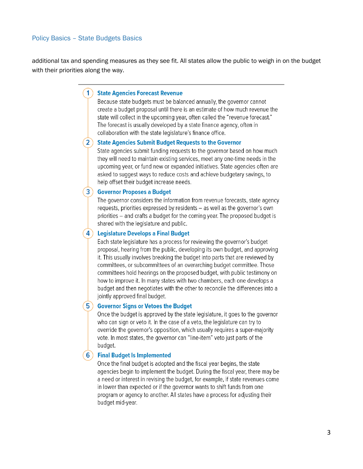### **Policy Basics - State Budgets Basics**

additional tax and spending measures as they see fit. All states allow the public to weigh in on the budget with their priorities along the way.

### 1) State Agencies Forecast Revenue

Because state budgets must be balanced annually, the governor cannot create a budget proposal until there is an estimate of how much revenue the state will collect in the upcoming year, often called the "revenue forecast." The forecast is usually developed by a state finance agency, often in collaboration with the state legislature's finance office.

### 2) State Agencies Submit Budget Requests to the Governor

State agencies submit funding requests to the governor based on how much they will need to maintain existing services, meet any one-time needs in the upcoming year, or fund new or expanded initiatives. State agencies often are asked to suggest ways to reduce costs and achieve budgetary savings, to help offset their budget increase needs.

### 3) Governor Proposes a Budget

The governor considers the information from revenue forecasts, state agency requests, priorities expressed by residents – as well as the governor's own priorities – and crafts a budget for the coming year. The proposed budget is shared with the legislature and public.

#### $\vert$ 4) Legislature Develops a Final Budget

Each state legislature has a process for reviewing the governor's budget proposal, hearing from the public, developing its own budget, and approving it. This usually involves breaking the budget into parts that are reviewed by committees, or subcommittees of an overarching budget committee. Those committees hold hearings on the proposed budget, with public testimony on how to improve it. In many states with two chambers, each one develops a budget and then negotiates with the other to reconcile the differences into a jointly approved final budget.

### $5)$

### **Governor Signs or Vetoes the Budget**

Once the budget is approved by the state legislature, it goes to the governor who can sign or veto it. In the case of a veto, the legislature can try to override the governor's opposition, which usually requires a super-majority vote. In most states, the governor can "line-item" veto just parts of the budget.

### **6** ) Final Budget Is Implemented

Once the final budget is adopted and the fiscal year begins, the state agencies begin to implement the budget. During the fiscal year, there may be a need or interest in revising the budget, for example, if state revenues come in lower than expected or if the governor wants to shift funds from one program or agency to another. All states have a process for adjusting their budget mid-year.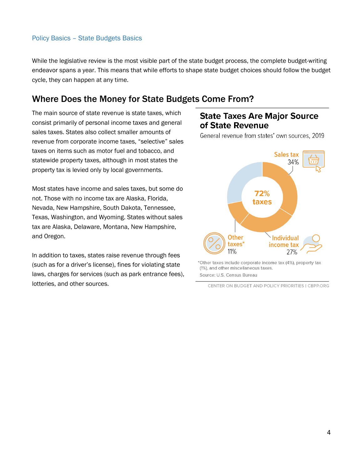## Policy Basics – State Budgets Basics

While the legislative review is the most visible part of the state budget process, the complete budget-writing endeavor spans a year. This means that while efforts to shape state budget choices should follow the budget cycle, they can happen at any time.

## Where Does the Money for State Budgets Come From?

The main source of state revenue is state taxes, which consist primarily of personal income taxes and general sales taxes. States also collect smaller amounts of revenue from corporate income taxes, "selective" sales taxes on items such as motor fuel and tobacco, and statewide property taxes, although in most states the property tax is levied only by local governments.

Most states have income and sales taxes, but some do not. Those with no income tax are Alaska, Florida, Nevada, New Hampshire, South Dakota, Tennessee, Texas, Washington, and Wyoming. States without sales tax are Alaska, Delaware, Montana, New Hampshire, and Oregon.

In addition to taxes, states raise revenue through fees (such as for a driver's license), fines for violating state laws, charges for services (such as park entrance fees), lotteries, and other sources.

## **State Taxes Are Major Source** of State Revenue

General revenue from states' own sources, 2019



\*Other taxes include corporate income tax (4%), property tax (1%), and other miscellaneous taxes. Source: U.S. Census Bureau

CENTER ON BUDGET AND POLICY PRIORITIES | CBPP.ORG